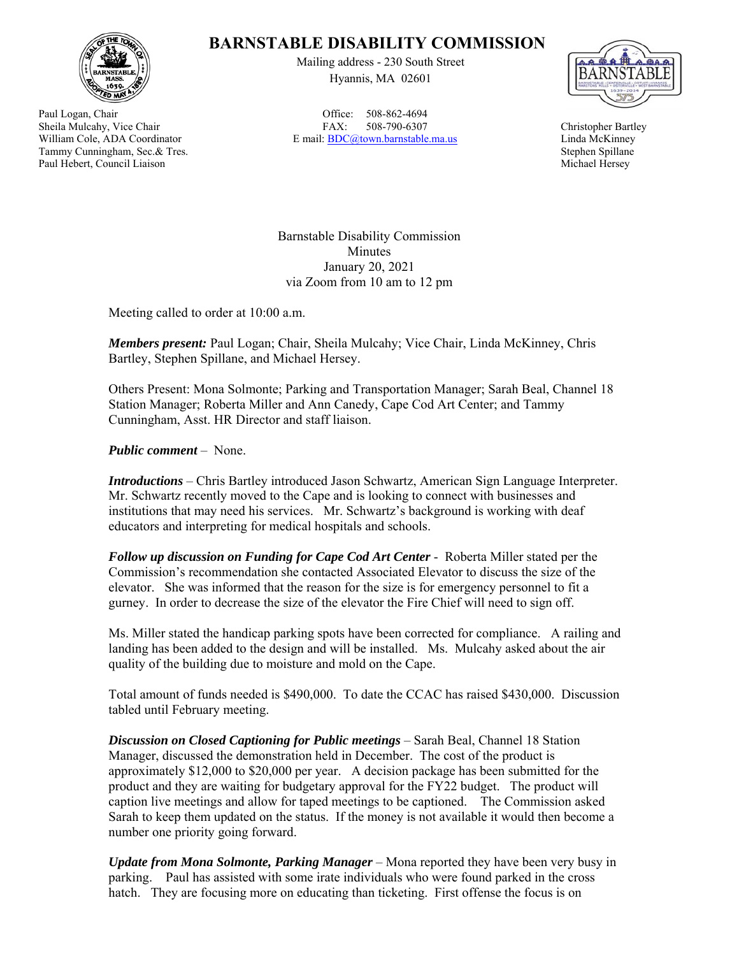

Paul Logan, Chair Sheila Mulcahy, Vice Chair William Cole, ADA Coordinator Tammy Cunningham, Sec.& Tres. Paul Hebert, Council Liaison

## **BARNSTABLE DISABILITY COMMISSION**

Mailing address - 230 South Street Hyannis, MA 02601

Office: 508-862-4694 FAX: 508-790-6307 E mail: BDC@town.barnstable.ma.us



Christopher Bartley Linda McKinney Stephen Spillane Michael Hersey

Barnstable Disability Commission Minutes January 20, 2021 via Zoom from 10 am to 12 pm

Meeting called to order at 10:00 a.m.

*Members present:* Paul Logan; Chair, Sheila Mulcahy; Vice Chair, Linda McKinney, Chris Bartley, Stephen Spillane, and Michael Hersey.

Others Present: Mona Solmonte; Parking and Transportation Manager; Sarah Beal, Channel 18 Station Manager; Roberta Miller and Ann Canedy, Cape Cod Art Center; and Tammy Cunningham, Asst. HR Director and staff liaison.

*Public comment* – None.

*Introductions* – Chris Bartley introduced Jason Schwartz, American Sign Language Interpreter. Mr. Schwartz recently moved to the Cape and is looking to connect with businesses and institutions that may need his services. Mr. Schwartz's background is working with deaf educators and interpreting for medical hospitals and schools.

*Follow up discussion on Funding for Cape Cod Art Center* - Roberta Miller stated per the Commission's recommendation she contacted Associated Elevator to discuss the size of the elevator. She was informed that the reason for the size is for emergency personnel to fit a gurney. In order to decrease the size of the elevator the Fire Chief will need to sign off.

Ms. Miller stated the handicap parking spots have been corrected for compliance. A railing and landing has been added to the design and will be installed. Ms. Mulcahy asked about the air quality of the building due to moisture and mold on the Cape.

Total amount of funds needed is \$490,000. To date the CCAC has raised \$430,000. Discussion tabled until February meeting.

*Discussion on Closed Captioning for Public meetings* – Sarah Beal, Channel 18 Station Manager, discussed the demonstration held in December. The cost of the product is approximately \$12,000 to \$20,000 per year. A decision package has been submitted for the product and they are waiting for budgetary approval for the FY22 budget. The product will caption live meetings and allow for taped meetings to be captioned. The Commission asked Sarah to keep them updated on the status. If the money is not available it would then become a number one priority going forward.

*Update from Mona Solmonte, Parking Manager* – Mona reported they have been very busy in parking. Paul has assisted with some irate individuals who were found parked in the cross hatch. They are focusing more on educating than ticketing. First offense the focus is on